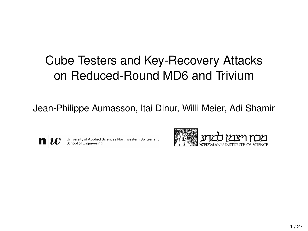## Cube Testers and Key-Recovery Attacks on Reduced-Round MD6 and Trivium

Jean-Philippe Aumasson, Itai Dinur, Willi Meier, Adi Shamir



University of Applied Sciences Northwestern Switzerland<br>School of Engineering

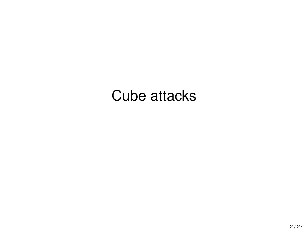## Cube attacks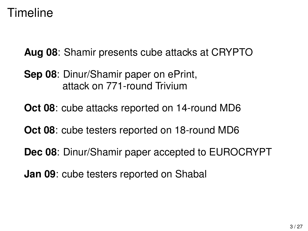### Timeline

**Aug 08**: Shamir presents cube attacks at CRYPTO

**Sep 08**: Dinur/Shamir paper on ePrint, attack on 771-round Trivium

**Oct 08**: cube attacks reported on 14-round MD6

**Oct 08**: cube testers reported on 18-round MD6

**Dec 08**: Dinur/Shamir paper accepted to EUROCRYPT

**Jan 09**: cube testers reported on Shabal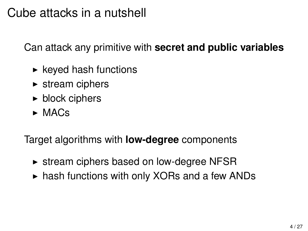### Cube attacks in a nutshell

Can attack any primitive with **secret and public variables**

- $\triangleright$  keyed hash functions
- $\triangleright$  stream ciphers
- $\blacktriangleright$  block ciphers
- $\triangleright$  MACs

Target algorithms with **low-degree** components

- $\triangleright$  stream ciphers based on low-degree NFSR
- $\triangleright$  hash functions with only XORs and a few ANDs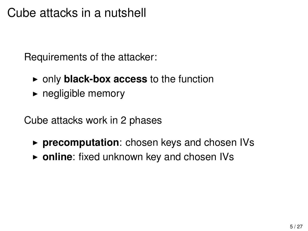### Cube attacks in a nutshell

Requirements of the attacker:

- **P** only **black-box access** to the function
- $\blacktriangleright$  negligible memory

Cube attacks work in 2 phases

- **Precomputation:** chosen keys and chosen IVs
- ▶ online: fixed unknown key and chosen IVs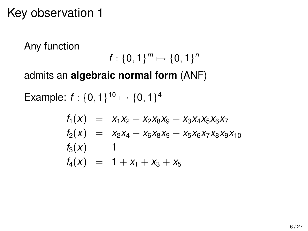Any function  $f: \{0,1\}^m \mapsto \{0,1\}^m$ admits an **algebraic normal form** (ANF) Example:  $f: \{0, 1\}^{10} \mapsto \{0, 1\}^4$  $f_1(x) = x_1x_2 + x_2x_8x_9 + x_3x_4x_5x_6x_7$ 

$$
f_2(x) = x_2x_4 + x_6x_8x_9 + x_5x_6x_7x_8x_9x_{10}
$$
  
\n
$$
f_3(x) = 1
$$
  
\n
$$
f_4(x) = 1 + x_1 + x_3 + x_5
$$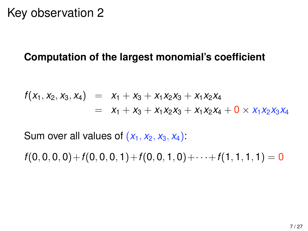#### **Computation of the largest monomial's coefficient**

$$
f(x_1, x_2, x_3, x_4) = x_1 + x_3 + x_1x_2x_3 + x_1x_2x_4
$$
  
=  $x_1 + x_3 + x_1x_2x_3 + x_1x_2x_4 + 0 \times x_1x_2x_3x_4$ 

Sum over all values of  $(x_1, x_2, x_3, x_4)$ :

 $f(0, 0, 0, 0) + f(0, 0, 0, 1) + f(0, 0, 1, 0) + \cdots + f(1, 1, 1, 1) = 0$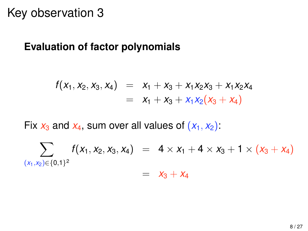#### **Evaluation of factor polynomials**

$$
f(x_1, x_2, x_3, x_4) = x_1 + x_3 + x_1x_2x_3 + x_1x_2x_4
$$
  
=  $x_1 + x_3 + x_1x_2(x_3 + x_4)$ 

Fix  $x_3$  and  $x_4$ , sum over all values of  $(x_1, x_2)$ :

 $\sum$  *f*(*x*<sub>1</sub>, *x*<sub>2</sub>, *x*<sub>3</sub>, *x*<sub>4</sub>) = 4 × *x*<sub>1</sub> + 4 × *x*<sub>3</sub> + 1 × (*x*<sub>3</sub> + *x*<sub>4</sub>) (*x*1,*x*2)∈{0,1} 2

 $= X_3 + X_4$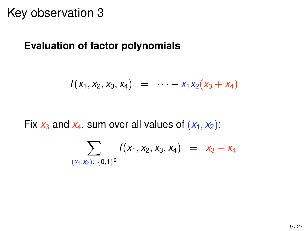#### **Evaluation of factor polynomials**

$$
f(x_1, x_2, x_3, x_4) = \cdots + x_1x_2(x_3 + x_4)
$$

Fix  $x_3$  and  $x_4$ , sum over all values of  $(x_1, x_2)$ :

$$
\sum_{(x_1,x_2)\in\{0,1\}^2} f(x_1,x_2,x_3,x_4) = x_3 + x_4
$$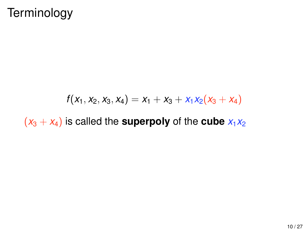### **Terminology**

$$
f(x_1, x_2, x_3, x_4) = x_1 + x_3 + x_1x_2(x_3 + x_4)
$$

 $(x_3 + x_4)$  is called the **superpoly** of the **cube**  $x_1x_2$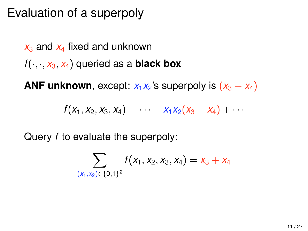### Evaluation of a superpoly

 $x_3$  and  $x_4$  fixed and unknown  $f(\cdot, \cdot, x_3, x_4)$  queried as a **black box** 

**ANF unknown**, except:  $x_1x_2$ 's superpoly is  $(x_3 + x_4)$ 

$$
f(x_1, x_2, x_3, x_4) = \cdots + x_1x_2(x_3 + x_4) + \cdots
$$

Query *f* to evaluate the superpoly:

$$
\sum_{(x_1,x_2)\in\{0,1\}^2} f(x_1,x_2,x_3,x_4)=x_3+x_4
$$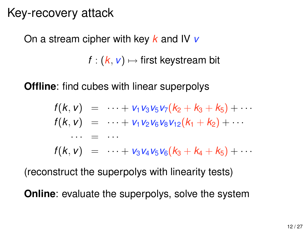### Key-recovery attack

On a stream cipher with key *k* and IV *v*

 $f : (k, v) \mapsto$  first keystream bit

**Offline**: find cubes with linear superpolys

$$
f(k, v) = \cdots + v_1 v_3 v_5 v_7 (k_2 + k_3 + k_5) + \cdots
$$
  
\n
$$
f(k, v) = \cdots + v_1 v_2 v_6 v_8 v_{12} (k_1 + k_2) + \cdots
$$
  
\n
$$
\cdots = \cdots
$$
  
\n
$$
f(k, v) = \cdots + v_3 v_4 v_5 v_6 (k_3 + k_4 + k_5) + \cdots
$$

(reconstruct the superpolys with linearity tests)

**Online:** evaluate the superpolys, solve the system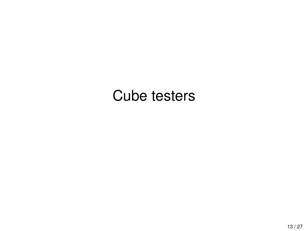# Cube testers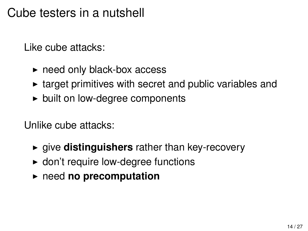### Cube testers in a nutshell

Like cube attacks:

- $\triangleright$  need only black-box access
- $\triangleright$  target primitives with secret and public variables and
- $\triangleright$  built on low-degree components

Unlike cube attacks:

- **P** give **distinguishers** rather than key-recovery
- $\blacktriangleright$  don't require low-degree functions
- **Performance in precomputation**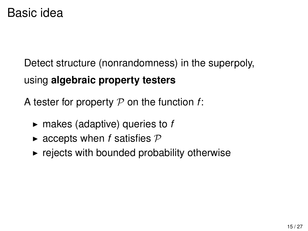### Basic idea

Detect structure (nonrandomness) in the superpoly, using **algebraic property testers**

A tester for property P on the function *f*:

- $\blacktriangleright$  makes (adaptive) queries to *f*
- $\blacktriangleright$  accepts when *f* satisfies  $\mathcal P$
- $\blacktriangleright$  rejects with bounded probability otherwise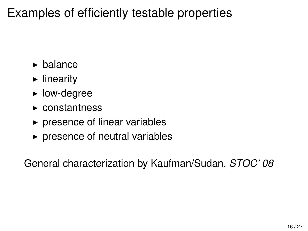### Examples of efficiently testable properties

- $\blacktriangleright$  balance
- $\blacktriangleright$  linearity
- $\blacktriangleright$  low-degree
- $\blacktriangleright$  constantness
- $\triangleright$  presence of linear variables
- $\triangleright$  presence of neutral variables

General characterization by Kaufman/Sudan, *STOC' 08*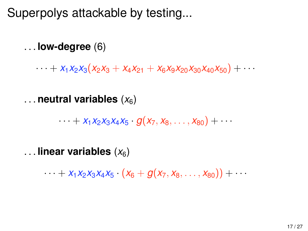Superpolys attackable by testing...

. . . **low-degree** (6)

 $\cdots$  +  $X_1X_2X_3(X_2X_3 + X_4X_2 + X_6X_9X_2X_3X_4X_5$ 

 $\dots$  **neutral variables**  $(x_6)$ 

 $\cdots + X_1X_2X_3X_4X_5 \cdot q(X_7, X_8, \ldots, X_{80}) + \cdots$ 

 $\dots$  linear variables  $(x_6)$ 

 $\cdots$  +  $x_1x_2x_3x_4x_5 \cdot (x_6 + g(x_7, x_8, \ldots, x_{80})) + \cdots$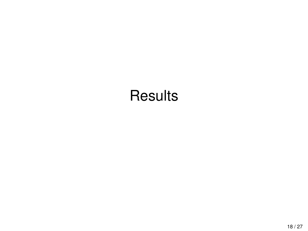# **Results**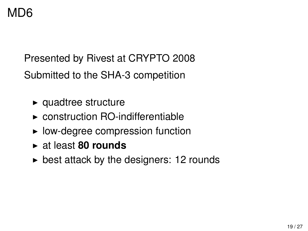Presented by Rivest at CRYPTO 2008 Submitted to the SHA-3 competition

- $\blacktriangleright$  quadtree structure
- $\triangleright$  construction RO-indifferentiable
- $\blacktriangleright$  low-degree compression function
- ► at least 80 rounds
- $\triangleright$  best attack by the designers: 12 rounds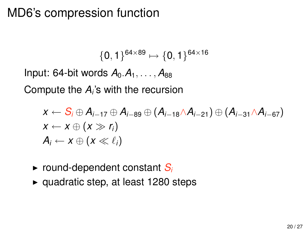### MD6's compression function

$$
\{0,1\}^{64\times 89} \mapsto \{0,1\}^{64\times 16}
$$

Input: 64-bit words  $A_0.A_1, \ldots, A_{88}$ 

Compute the *A<sup>i</sup>* 's with the recursion

$$
x \leftarrow S_i \oplus A_{i-17} \oplus A_{i-89} \oplus (A_{i-18} \wedge A_{i-21}) \oplus (A_{i-31} \wedge A_{i-67})
$$
  

$$
x \leftarrow x \oplus (x \gg r_i)
$$
  

$$
A_i \leftarrow x \oplus (x \ll \ell_i)
$$

- $\triangleright$  round-dependent constant  $S_i$
- $\rightarrow$  quadratic step, at least 1280 steps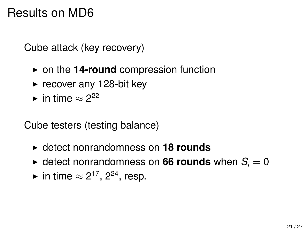### Results on MD6

Cube attack (key recovery)

- on the **14-round** compression function
- $\blacktriangleright$  recover any 128-bit key
- ► in time  $\approx 2^{22}$

Cube testers (testing balance)

- ► detect nonrandomness on 18 rounds
- $\blacktriangleright$  detect nonrandomness on 66 rounds when  $S_i = 0$
- ► in time  $\approx$  2<sup>17</sup>, 2<sup>24</sup>, resp.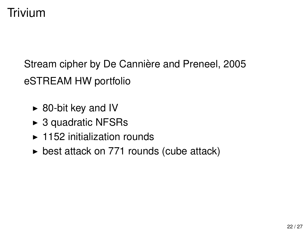### Trivium

Stream cipher by De Cannière and Preneel, 2005 eSTREAM HW portfolio

- $\triangleright$  80-bit key and IV
- $\triangleright$  3 quadratic NFSRs
- $\blacktriangleright$  1152 initialization rounds
- $\triangleright$  best attack on 771 rounds (cube attack)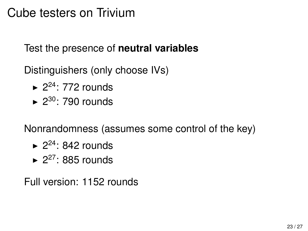### Cube testers on Trivium

Test the presence of **neutral variables**

Distinguishers (only choose IVs)

- $\blacktriangleright$  2<sup>24</sup>: 772 rounds
- $\blacktriangleright$  2<sup>30</sup>: 790 rounds

Nonrandomness (assumes some control of the key)

- $\blacktriangleright$  2<sup>24</sup>: 842 rounds
- $\blacktriangleright$  2<sup>27</sup>: 885 rounds

Full version: 1152 rounds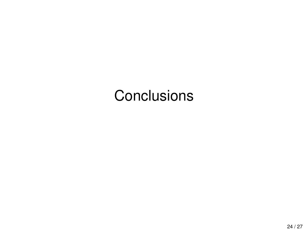# **Conclusions**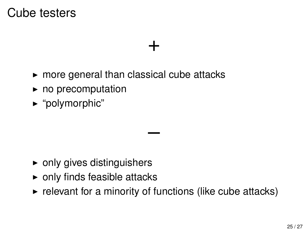### Cube testers

 $\triangleright$  more general than classical cube attacks

+

- $\blacktriangleright$  no precomputation
- $\blacktriangleright$  "polymorphic"

- $\triangleright$  only gives distinguishers
- $\triangleright$  only finds feasible attacks
- $\triangleright$  relevant for a minority of functions (like cube attacks)

–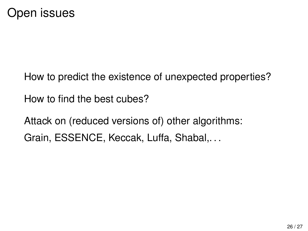How to predict the existence of unexpected properties?

How to find the best cubes?

Attack on (reduced versions of) other algorithms: Grain, ESSENCE, Keccak, Luffa, Shabal,. . .